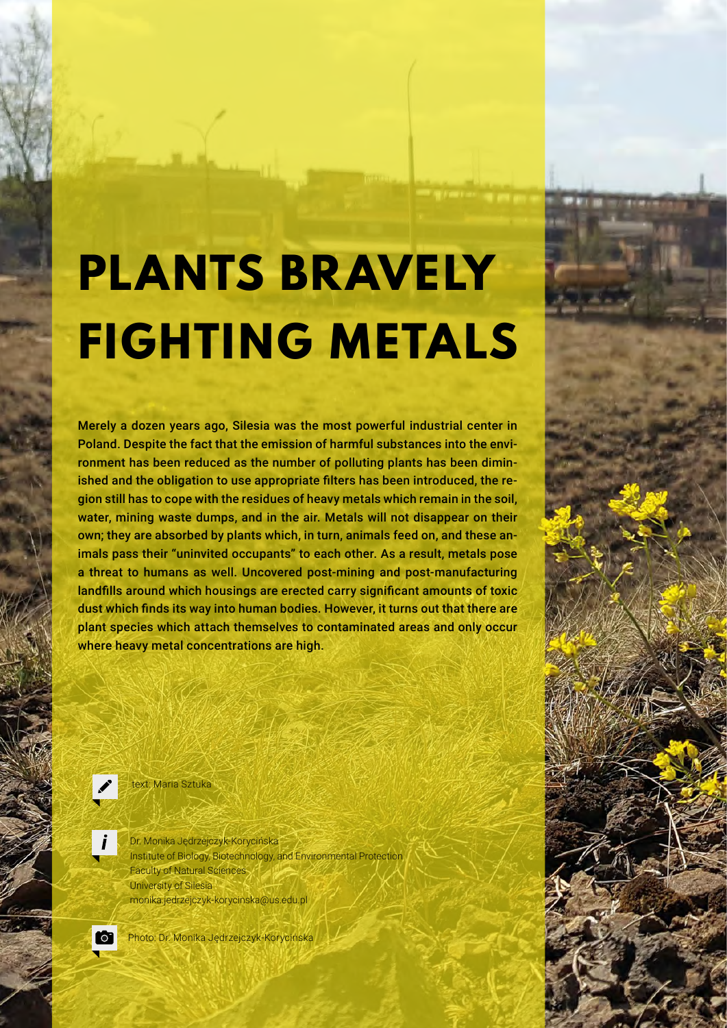# **PLANTS BRAVELY FIGHTING METALS**

Merely a dozen years ago, Silesia was the most powerful industrial center in Poland. Despite the fact that the emission of harmful substances into the environment has been reduced as the number of polluting plants has been diminished and the obligation to use appropriate filters has been introduced, the region still has to cope with the residues of heavy metals which remain in the soil, water, mining waste dumps, and in the air. Metals will not disappear on their own; they are absorbed by plants which, in turn, animals feed on, and these animals pass their "uninvited occupants" to each other. As a result, metals pose a threat to humans as well. Uncovered post-mining and post-manufacturing landfills around which housings are erected carry significant amounts of toxic dust which finds its way into human bodies. However, it turns out that there are plant species which attach themselves to contaminated areas and only occur where heavy metal concentrations are high.



text: Maria Sztuka

Dr. Monika Jędrzejczyk-Korycińska Institute of Biology, Biotechnology, and Environmental Protection Faculty of Natural Sciences University of Silesia monika.jedrzejczyk-korycinska@us.edu.pl



Photo: Dr. Monika Jędrzejczyk-Korycińska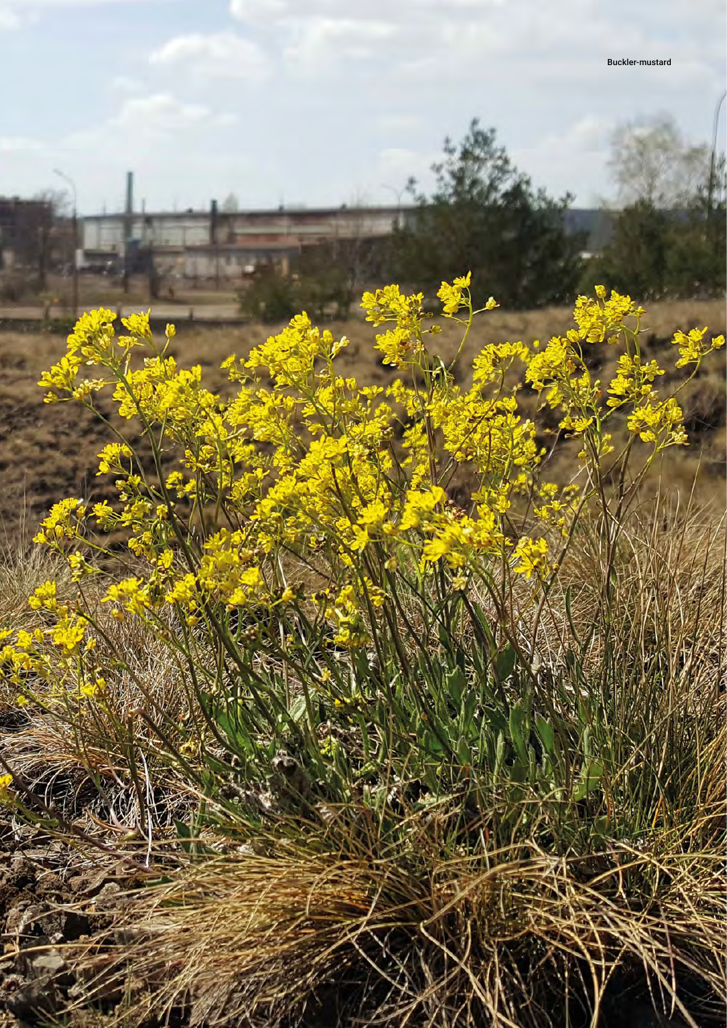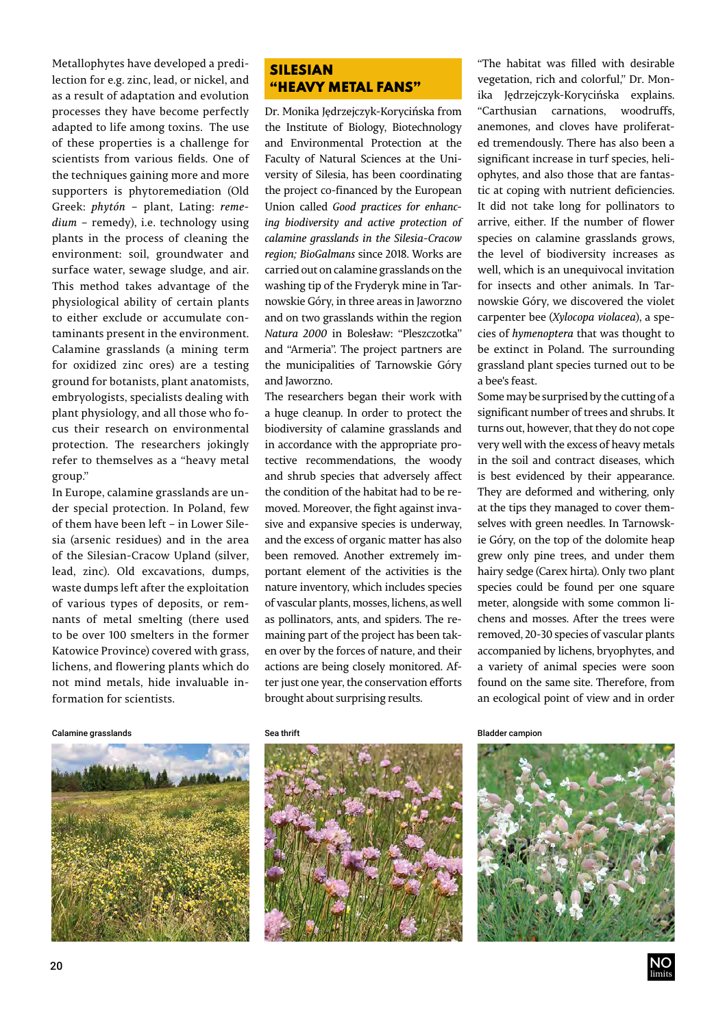Metallophytes have developed a predilection for e.g. zinc, lead, or nickel, and as a result of adaptation and evolution processes they have become perfectly adapted to life among toxins. The use of these properties is a challenge for scientists from various fields. One of the techniques gaining more and more supporters is phytoremediation (Old Greek: *phytón* – plant, Lating: *remedium* – remedy), i.e. technology using plants in the process of cleaning the environment: soil, groundwater and surface water, sewage sludge, and air. This method takes advantage of the physiological ability of certain plants to either exclude or accumulate contaminants present in the environment. Calamine grasslands (a mining term for oxidized zinc ores) are a testing ground for botanists, plant anatomists, embryologists, specialists dealing with plant physiology, and all those who focus their research on environmental protection. The researchers jokingly refer to themselves as a "heavy metal group."

In Europe, calamine grasslands are under special protection. In Poland, few of them have been left – in Lower Silesia (arsenic residues) and in the area of the Silesian-Cracow Upland (silver, lead, zinc). Old excavations, dumps, waste dumps left after the exploitation of various types of deposits, or remnants of metal smelting (there used to be over 100 smelters in the former Katowice Province) covered with grass, lichens, and flowering plants which do not mind metals, hide invaluable information for scientists.

## SILESIAN "HEAVY METAL FANS"

Dr. Monika Jędrzejczyk-Korycińska from the Institute of Biology, Biotechnology and Environmental Protection at the Faculty of Natural Sciences at the University of Silesia, has been coordinating the project co-financed by the European Union called *Good practices for enhancing biodiversity and active protection of calamine grasslands in the Silesia-Cracow region; BioGalmans* since 2018. Works are carried out on calamine grasslands on the washing tip of the Fryderyk mine in Tarnowskie Góry, in three areas in Jaworzno and on two grasslands within the region *Natura 2000* in Bolesław: "Pleszczotka" and "Armeria". The project partners are the municipalities of Tarnowskie Góry and Jaworzno.

The researchers began their work with a huge cleanup. In order to protect the biodiversity of calamine grasslands and in accordance with the appropriate protective recommendations, the woody and shrub species that adversely affect the condition of the habitat had to be removed. Moreover, the fight against invasive and expansive species is underway, and the excess of organic matter has also been removed. Another extremely important element of the activities is the nature inventory, which includes species of vascular plants, mosses, lichens, as well as pollinators, ants, and spiders. The remaining part of the project has been taken over by the forces of nature, and their actions are being closely monitored. After just one year, the conservation efforts brought about surprising results.

"The habitat was filled with desirable vegetation, rich and colorful," Dr. Monika Jędrzejczyk-Korycińska explains. "Carthusian carnations, woodruffs, anemones, and cloves have proliferated tremendously. There has also been a significant increase in turf species, heliophytes, and also those that are fantastic at coping with nutrient deficiencies. It did not take long for pollinators to arrive, either. If the number of flower species on calamine grasslands grows, the level of biodiversity increases as well, which is an unequivocal invitation for insects and other animals. In Tarnowskie Góry, we discovered the violet carpenter bee (*Xylocopa violacea*), a species of *hymenoptera* that was thought to be extinct in Poland. The surrounding grassland plant species turned out to be a bee's feast.

Some may be surprised by the cutting of a significant number of trees and shrubs. It turns out, however, that they do not cope very well with the excess of heavy metals in the soil and contract diseases, which is best evidenced by their appearance. They are deformed and withering, only at the tips they managed to cover themselves with green needles. In Tarnowskie Góry, on the top of the dolomite heap grew only pine trees, and under them hairy sedge (Carex hirta). Only two plant species could be found per one square meter, alongside with some common lichens and mosses. After the trees were removed, 20-30 species of vascular plants accompanied by lichens, bryophytes, and a variety of animal species were soon found on the same site. Therefore, from an ecological point of view and in order

Calamine grasslands and the Sea thrift Sea thrift Sea thrift Sea throw Bladder campion